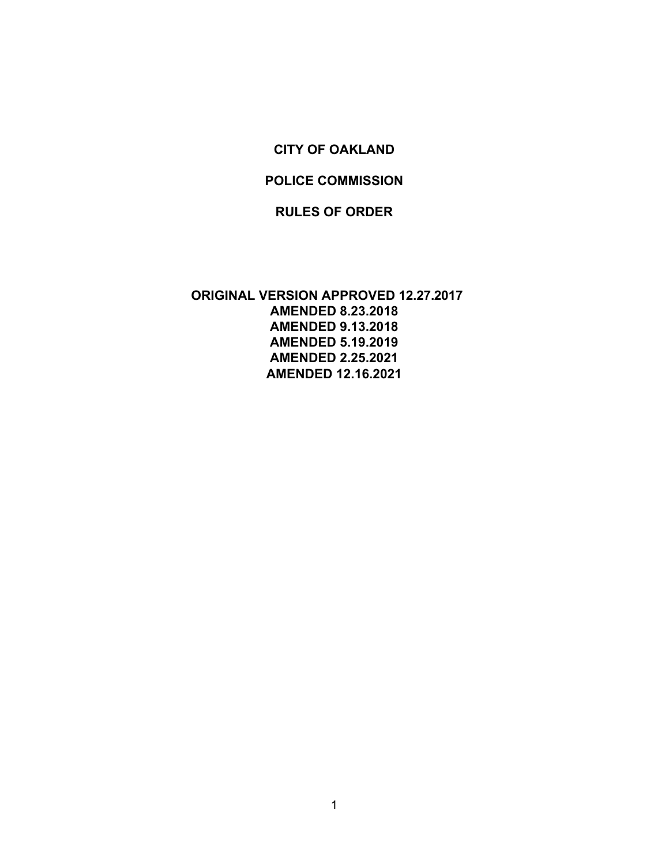#### **CITY OF OAKLAND**

#### **POLICE COMMISSION**

#### **RULES OF ORDER**

**ORIGINAL VERSION APPROVED 12.27.2017 AMENDED 8.23.2018 AMENDED 9.13.2018 AMENDED 5.19.2019 AMENDED 2.25.2021 AMENDED 12.16.2021**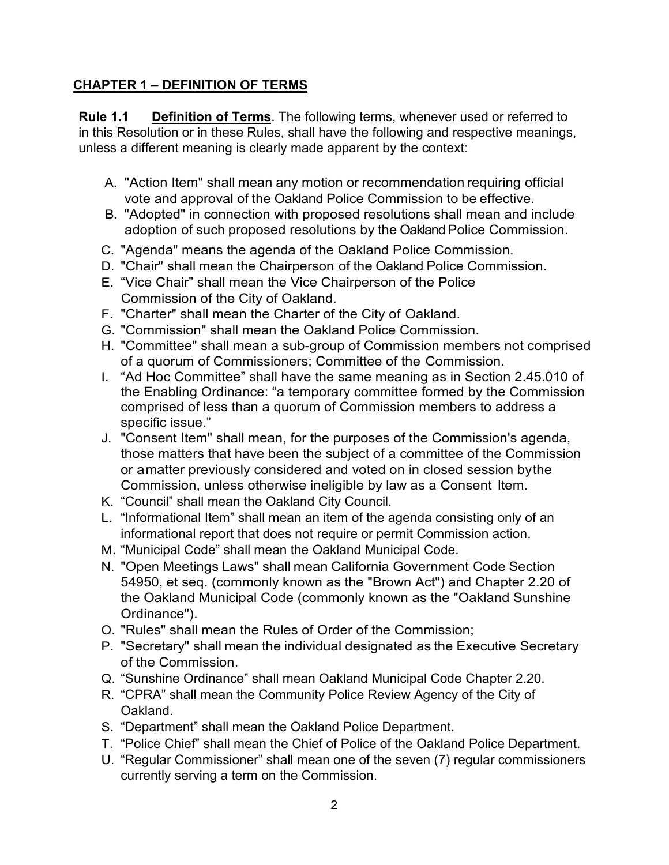### **CHAPTER 1 – DEFINITION OF TERMS**

**Rule 1.1 Definition of Terms**. The following terms, whenever used or referred to in this Resolution or in these Rules, shall have the following and respective meanings, unless a different meaning is clearly made apparent by the context:

- A. "Action Item" shall mean any motion or recommendation requiring official vote and approval of the Oakland Police Commission to be effective.
- B. "Adopted" in connection with proposed resolutions shall mean and include adoption of such proposed resolutions by the Oakland Police Commission.
- C. "Agenda" means the agenda of the Oakland Police Commission.
- D. "Chair" shall mean the Chairperson of the Oakland Police Commission.
- E. "Vice Chair" shall mean the Vice Chairperson of the Police Commission of the City of Oakland.
- F. "Charter" shall mean the Charter of the City of Oakland.
- G. "Commission" shall mean the Oakland Police Commission.
- H. "Committee" shall mean a sub-group of Commission members not comprised of a quorum of Commissioners; Committee of the Commission.
- I. "Ad Hoc Committee" shall have the same meaning as in Section 2.45.010 of the Enabling Ordinance: "a temporary committee formed by the Commission comprised of less than a quorum of Commission members to address a specific issue."
- J. "Consent Item" shall mean, for the purposes of the Commission's agenda, those matters that have been the subject of a committee of the Commission or amatter previously considered and voted on in closed session bythe Commission, unless otherwise ineligible by law as a Consent Item.
- K. "Council" shall mean the Oakland City Council.
- L. "Informational Item" shall mean an item of the agenda consisting only of an informational report that does not require or permit Commission action.
- M. "Municipal Code" shall mean the Oakland Municipal Code.
- N. "Open Meetings Laws" shall mean California Government Code Section 54950, et seq. (commonly known as the "Brown Act") and Chapter 2.20 of the Oakland Municipal Code (commonly known as the "Oakland Sunshine Ordinance").
- O. "Rules" shall mean the Rules of Order of the Commission;
- P. "Secretary" shall mean the individual designated as the Executive Secretary of the Commission.
- Q. "Sunshine Ordinance" shall mean Oakland Municipal Code Chapter 2.20.
- R. "CPRA" shall mean the Community Police Review Agency of the City of **Oakland**
- S. "Department" shall mean the Oakland Police Department.
- T. "Police Chief" shall mean the Chief of Police of the Oakland Police Department.
- U. "Regular Commissioner" shall mean one of the seven (7) regular commissioners currently serving a term on the Commission.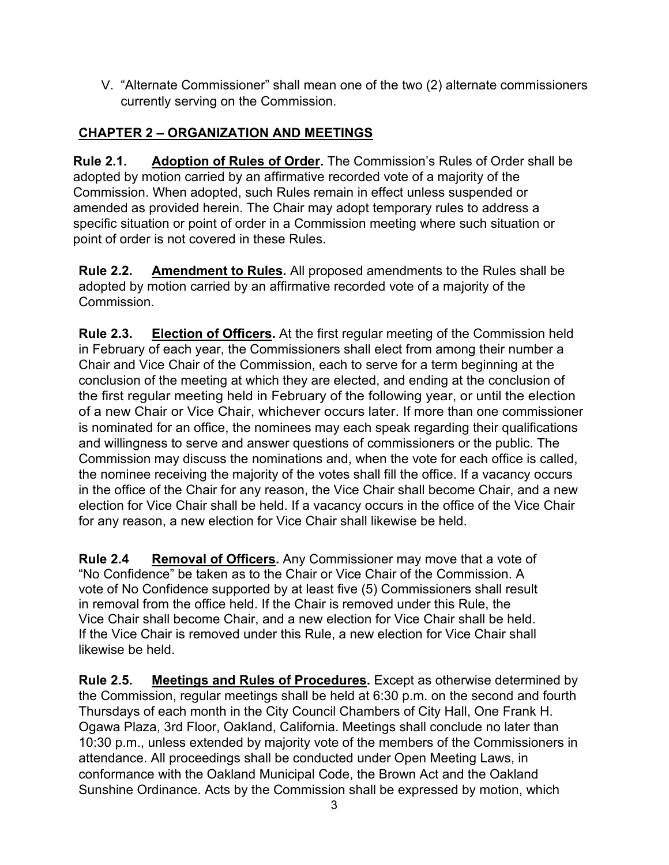V. "Alternate Commissioner" shall mean one of the two (2) alternate commissioners currently serving on the Commission.

## **CHAPTER 2 – ORGANIZATION AND MEETINGS**

**Rule 2.1. Adoption of Rules of Order.** The Commission's Rules of Order shall be adopted by motion carried by an affirmative recorded vote of a majority of the Commission. When adopted, such Rules remain in effect unless suspended or amended as provided herein. The Chair may adopt temporary rules to address a specific situation or point of order in a Commission meeting where such situation or point of order is not covered in these Rules.

**Rule 2.2. Amendment to Rules.** All proposed amendments to the Rules shall be adopted by motion carried by an affirmative recorded vote of a majority of the Commission.

**Rule 2.3. Election of Officers.** At the first regular meeting of the Commission held in February of each year, the Commissioners shall elect from among their number a Chair and Vice Chair of the Commission, each to serve for a term beginning at the conclusion of the meeting at which they are elected, and ending at the conclusion of the first regular meeting held in February of the following year, or until the election of a new Chair or Vice Chair, whichever occurs later. If more than one commissioner is nominated for an office, the nominees may each speak regarding their qualifications and willingness to serve and answer questions of commissioners or the public. The Commission may discuss the nominations and, when the vote for each office is called, the nominee receiving the majority of the votes shall fill the office. If a vacancy occurs in the office of the Chair for any reason, the Vice Chair shall become Chair, and a new election for Vice Chair shall be held. If a vacancy occurs in the office of the Vice Chair for any reason, a new election for Vice Chair shall likewise be held.

**Rule 2.4 Removal of Officers.** Any Commissioner may move that a vote of "No Confidence" be taken as to the Chair or Vice Chair of the Commission. A vote of No Confidence supported by at least five (5) Commissioners shall result in removal from the office held. If the Chair is removed under this Rule, the Vice Chair shall become Chair, and a new election for Vice Chair shall be held. If the Vice Chair is removed under this Rule, a new election for Vice Chair shall likewise be held.

**Rule 2.5. Meetings and Rules of Procedures.** Except as otherwise determined by the Commission, regular meetings shall be held at 6:30 p.m. on the second and fourth Thursdays of each month in the City Council Chambers of City Hall, One Frank H. Ogawa Plaza, 3rd Floor, Oakland, California. Meetings shall conclude no later than 10:30 p.m., unless extended by majority vote of the members of the Commissioners in attendance. All proceedings shall be conducted under Open Meeting Laws, in conformance with the Oakland Municipal Code, the Brown Act and the Oakland Sunshine Ordinance. Acts by the Commission shall be expressed by motion, which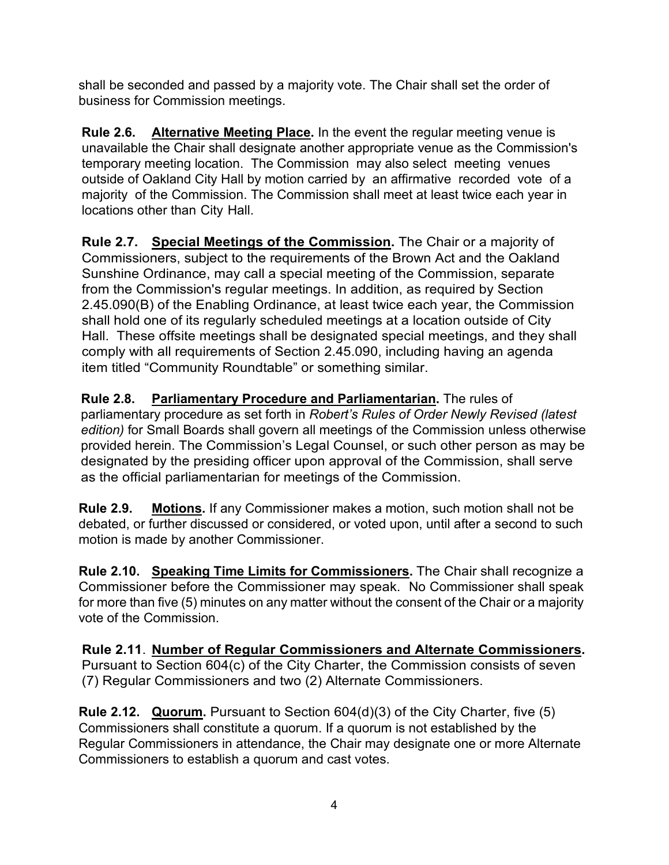shall be seconded and passed by a majority vote. The Chair shall set the order of business for Commission meetings.

**Rule 2.6. Alternative Meeting Place.** In the event the regular meeting venue is unavailable the Chair shall designate another appropriate venue as the Commission's temporary meeting location. The Commission may also select meeting venues outside of Oakland City Hall by motion carried by an affirmative recorded vote of a majority of the Commission. The Commission shall meet at least twice each year in locations other than City Hall.

**Rule 2.7. Special Meetings of the Commission.** The Chair or a majority of Commissioners, subject to the requirements of the Brown Act and the Oakland Sunshine Ordinance, may call a special meeting of the Commission, separate from the Commission's regular meetings. In addition, as required by Section 2.45.090(B) of the Enabling Ordinance, at least twice each year, the Commission shall hold one of its regularly scheduled meetings at a location outside of City Hall. These offsite meetings shall be designated special meetings, and they shall comply with all requirements of Section 2.45.090, including having an agenda item titled "Community Roundtable" or something similar.

**Rule 2.8. Parliamentary Procedure and Parliamentarian.** The rules of parliamentary procedure as set forth in *Robert's Rules of Order Newly Revised (latest edition)* for Small Boards shall govern all meetings of the Commission unless otherwise provided herein. The Commission's Legal Counsel, or such other person as may be designated by the presiding officer upon approval of the Commission, shall serve as the official parliamentarian for meetings of the Commission.

**Rule 2.9. Motions.** If any Commissioner makes a motion, such motion shall not be debated, or further discussed or considered, or voted upon, until after a second to such motion is made by another Commissioner.

**Rule 2.10. Speaking Time Limits for Commissioners.** The Chair shall recognize a Commissioner before the Commissioner may speak. No Commissioner shall speak for more than five (5) minutes on any matter without the consent of the Chair or a majority vote of the Commission.

**Rule 2.11**. **Number of Regular Commissioners and Alternate Commissioners.** Pursuant to Section 604(c) of the City Charter, the Commission consists of seven (7) Regular Commissioners and two (2) Alternate Commissioners.

**Rule 2.12. Quorum.** Pursuant to Section 604(d)(3) of the City Charter, five (5) Commissioners shall constitute a quorum. If a quorum is not established by the Regular Commissioners in attendance, the Chair may designate one or more Alternate Commissioners to establish a quorum and cast votes.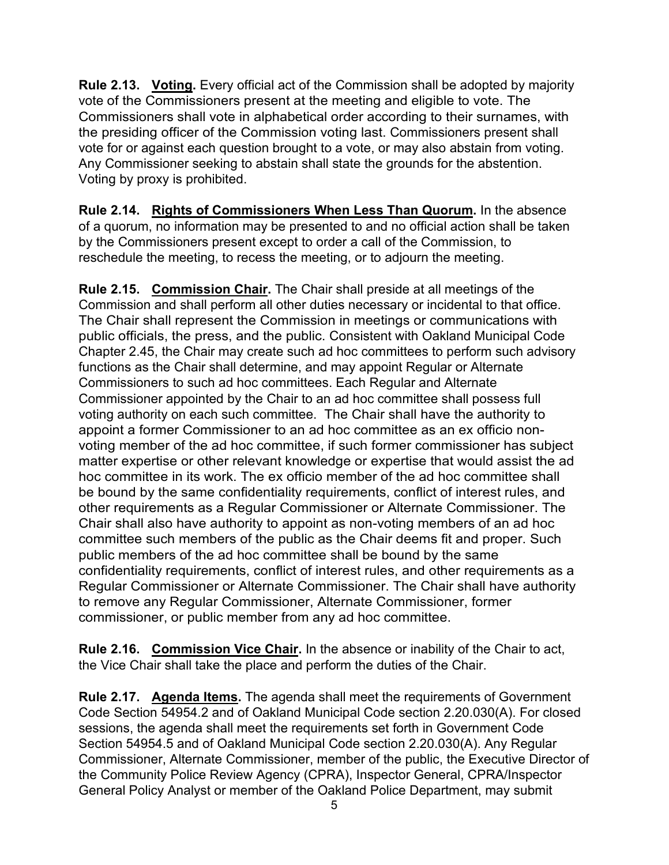**Rule 2.13. Voting.** Every official act of the Commission shall be adopted by majority vote of the Commissioners present at the meeting and eligible to vote. The Commissioners shall vote in alphabetical order according to their surnames, with the presiding officer of the Commission voting last. Commissioners present shall vote for or against each question brought to a vote, or may also abstain from voting. Any Commissioner seeking to abstain shall state the grounds for the abstention. Voting by proxy is prohibited.

**Rule 2.14. Rights of Commissioners When Less Than Quorum.** In the absence of a quorum, no information may be presented to and no official action shall be taken by the Commissioners present except to order a call of the Commission, to reschedule the meeting, to recess the meeting, or to adjourn the meeting.

**Rule 2.15. Commission Chair.** The Chair shall preside at all meetings of the Commission and shall perform all other duties necessary or incidental to that office. The Chair shall represent the Commission in meetings or communications with public officials, the press, and the public. Consistent with Oakland Municipal Code Chapter 2.45, the Chair may create such ad hoc committees to perform such advisory functions as the Chair shall determine, and may appoint Regular or Alternate Commissioners to such ad hoc committees. Each Regular and Alternate Commissioner appointed by the Chair to an ad hoc committee shall possess full voting authority on each such committee. The Chair shall have the authority to appoint a former Commissioner to an ad hoc committee as an ex officio nonvoting member of the ad hoc committee, if such former commissioner has subject matter expertise or other relevant knowledge or expertise that would assist the ad hoc committee in its work. The ex officio member of the ad hoc committee shall be bound by the same confidentiality requirements, conflict of interest rules, and other requirements as a Regular Commissioner or Alternate Commissioner. The Chair shall also have authority to appoint as non-voting members of an ad hoc committee such members of the public as the Chair deems fit and proper. Such public members of the ad hoc committee shall be bound by the same confidentiality requirements, conflict of interest rules, and other requirements as a Regular Commissioner or Alternate Commissioner. The Chair shall have authority to remove any Regular Commissioner, Alternate Commissioner, former commissioner, or public member from any ad hoc committee.

**Rule 2.16. Commission Vice Chair.** In the absence or inability of the Chair to act, the Vice Chair shall take the place and perform the duties of the Chair.

**Rule 2.17. Agenda Items.** The agenda shall meet the requirements of Government Code Section 54954.2 and of Oakland Municipal Code section 2.20.030(A). For closed sessions, the agenda shall meet the requirements set forth in Government Code Section 54954.5 and of Oakland Municipal Code section 2.20.030(A). Any Regular Commissioner, Alternate Commissioner, member of the public, the Executive Director of the Community Police Review Agency (CPRA), Inspector General, CPRA/Inspector General Policy Analyst or member of the Oakland Police Department, may submit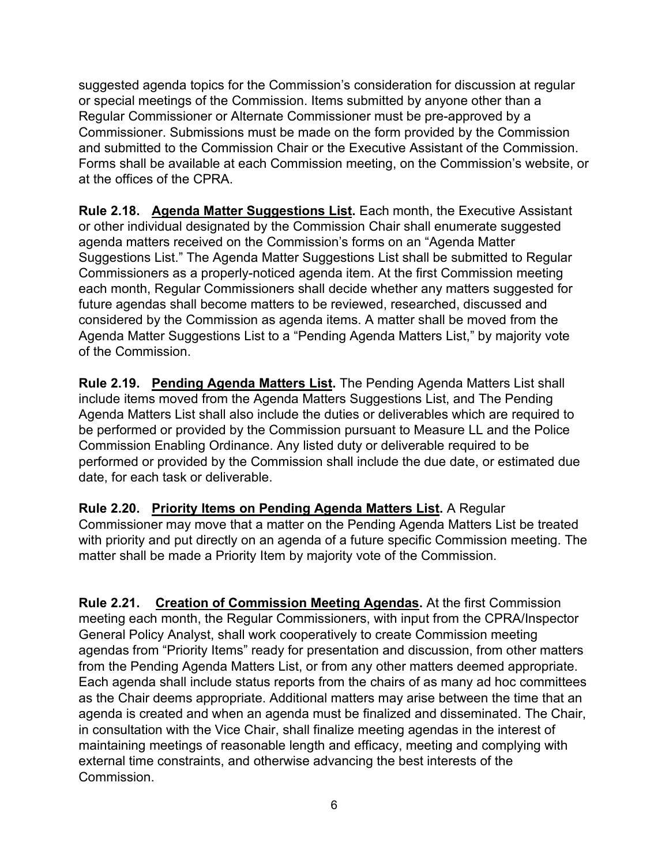suggested agenda topics for the Commission's consideration for discussion at regular or special meetings of the Commission. Items submitted by anyone other than a Regular Commissioner or Alternate Commissioner must be pre-approved by a Commissioner. Submissions must be made on the form provided by the Commission and submitted to the Commission Chair or the Executive Assistant of the Commission. Forms shall be available at each Commission meeting, on the Commission's website, or at the offices of the CPRA.

**Rule 2.18. Agenda Matter Suggestions List.** Each month, the Executive Assistant or other individual designated by the Commission Chair shall enumerate suggested agenda matters received on the Commission's forms on an "Agenda Matter Suggestions List." The Agenda Matter Suggestions List shall be submitted to Regular Commissioners as a properly-noticed agenda item. At the first Commission meeting each month, Regular Commissioners shall decide whether any matters suggested for future agendas shall become matters to be reviewed, researched, discussed and considered by the Commission as agenda items. A matter shall be moved from the Agenda Matter Suggestions List to a "Pending Agenda Matters List," by majority vote of the Commission.

**Rule 2.19. Pending Agenda Matters List.** The Pending Agenda Matters List shall include items moved from the Agenda Matters Suggestions List, and The Pending Agenda Matters List shall also include the duties or deliverables which are required to be performed or provided by the Commission pursuant to Measure LL and the Police Commission Enabling Ordinance. Any listed duty or deliverable required to be performed or provided by the Commission shall include the due date, or estimated due date, for each task or deliverable.

**Rule 2.20. Priority Items on Pending Agenda Matters List.** A Regular Commissioner may move that a matter on the Pending Agenda Matters List be treated with priority and put directly on an agenda of a future specific Commission meeting. The matter shall be made a Priority Item by majority vote of the Commission.

**Rule 2.21. Creation of Commission Meeting Agendas.** At the first Commission meeting each month, the Regular Commissioners, with input from the CPRA/Inspector General Policy Analyst, shall work cooperatively to create Commission meeting agendas from "Priority Items" ready for presentation and discussion, from other matters from the Pending Agenda Matters List, or from any other matters deemed appropriate. Each agenda shall include status reports from the chairs of as many ad hoc committees as the Chair deems appropriate. Additional matters may arise between the time that an agenda is created and when an agenda must be finalized and disseminated. The Chair, in consultation with the Vice Chair, shall finalize meeting agendas in the interest of maintaining meetings of reasonable length and efficacy, meeting and complying with external time constraints, and otherwise advancing the best interests of the Commission.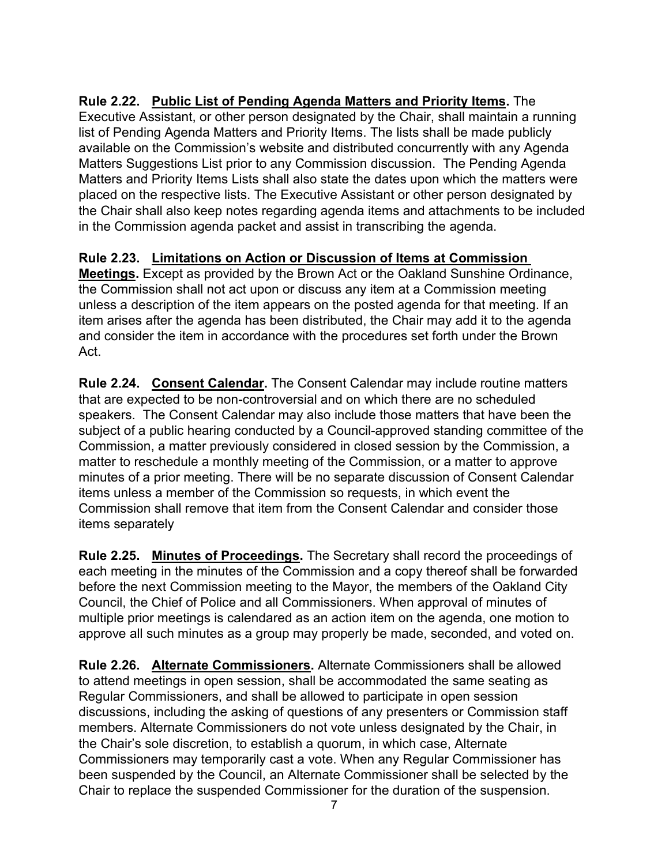**Rule 2.22. Public List of Pending Agenda Matters and Priority Items.** The Executive Assistant, or other person designated by the Chair, shall maintain a running list of Pending Agenda Matters and Priority Items. The lists shall be made publicly available on the Commission's website and distributed concurrently with any Agenda Matters Suggestions List prior to any Commission discussion. The Pending Agenda Matters and Priority Items Lists shall also state the dates upon which the matters were placed on the respective lists. The Executive Assistant or other person designated by the Chair shall also keep notes regarding agenda items and attachments to be included in the Commission agenda packet and assist in transcribing the agenda.

### **Rule 2.23. Limitations on Action or Discussion of Items at Commission**

**Meetings.** Except as provided by the Brown Act or the Oakland Sunshine Ordinance, the Commission shall not act upon or discuss any item at a Commission meeting unless a description of the item appears on the posted agenda for that meeting. If an item arises after the agenda has been distributed, the Chair may add it to the agenda and consider the item in accordance with the procedures set forth under the Brown Act.

**Rule 2.24. Consent Calendar.** The Consent Calendar may include routine matters that are expected to be non-controversial and on which there are no scheduled speakers. The Consent Calendar may also include those matters that have been the subject of a public hearing conducted by a Council-approved standing committee of the Commission, a matter previously considered in closed session by the Commission, a matter to reschedule a monthly meeting of the Commission, or a matter to approve minutes of a prior meeting. There will be no separate discussion of Consent Calendar items unless a member of the Commission so requests, in which event the Commission shall remove that item from the Consent Calendar and consider those items separately

**Rule 2.25. Minutes of Proceedings.** The Secretary shall record the proceedings of each meeting in the minutes of the Commission and a copy thereof shall be forwarded before the next Commission meeting to the Mayor, the members of the Oakland City Council, the Chief of Police and all Commissioners. When approval of minutes of multiple prior meetings is calendared as an action item on the agenda, one motion to approve all such minutes as a group may properly be made, seconded, and voted on.

**Rule 2.26. Alternate Commissioners.** Alternate Commissioners shall be allowed to attend meetings in open session, shall be accommodated the same seating as Regular Commissioners, and shall be allowed to participate in open session discussions, including the asking of questions of any presenters or Commission staff members. Alternate Commissioners do not vote unless designated by the Chair, in the Chair's sole discretion, to establish a quorum, in which case, Alternate Commissioners may temporarily cast a vote. When any Regular Commissioner has been suspended by the Council, an Alternate Commissioner shall be selected by the Chair to replace the suspended Commissioner for the duration of the suspension.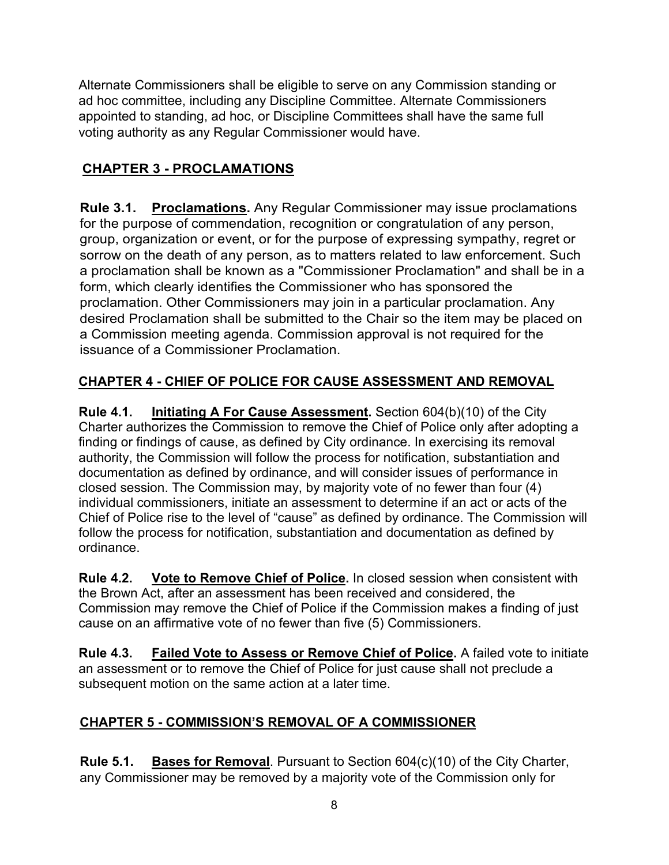Alternate Commissioners shall be eligible to serve on any Commission standing or ad hoc committee, including any Discipline Committee. Alternate Commissioners appointed to standing, ad hoc, or Discipline Committees shall have the same full voting authority as any Regular Commissioner would have.

# **CHAPTER 3 - PROCLAMATIONS**

**Rule 3.1. Proclamations.** Any Regular Commissioner may issue proclamations for the purpose of commendation, recognition or congratulation of any person, group, organization or event, or for the purpose of expressing sympathy, regret or sorrow on the death of any person, as to matters related to law enforcement. Such a proclamation shall be known as a "Commissioner Proclamation" and shall be in a form, which clearly identifies the Commissioner who has sponsored the proclamation. Other Commissioners may join in a particular proclamation. Any desired Proclamation shall be submitted to the Chair so the item may be placed on a Commission meeting agenda. Commission approval is not required for the issuance of a Commissioner Proclamation.

## **CHAPTER 4 - CHIEF OF POLICE FOR CAUSE ASSESSMENT AND REMOVAL**

**Rule 4.1. Initiating A For Cause Assessment.** Section 604(b)(10) of the City Charter authorizes the Commission to remove the Chief of Police only after adopting a finding or findings of cause, as defined by City ordinance. In exercising its removal authority, the Commission will follow the process for notification, substantiation and documentation as defined by ordinance, and will consider issues of performance in closed session. The Commission may, by majority vote of no fewer than four (4) individual commissioners, initiate an assessment to determine if an act or acts of the Chief of Police rise to the level of "cause" as defined by ordinance. The Commission will follow the process for notification, substantiation and documentation as defined by ordinance.

**Rule 4.2. Vote to Remove Chief of Police.** In closed session when consistent with the Brown Act, after an assessment has been received and considered, the Commission may remove the Chief of Police if the Commission makes a finding of just cause on an affirmative vote of no fewer than five (5) Commissioners.

**Rule 4.3. Failed Vote to Assess or Remove Chief of Police.** A failed vote to initiate an assessment or to remove the Chief of Police for just cause shall not preclude a subsequent motion on the same action at a later time.

## **CHAPTER 5 - COMMISSION'S REMOVAL OF A COMMISSIONER**

**Rule 5.1. Bases for Removal**. Pursuant to Section 604(c)(10) of the City Charter, any Commissioner may be removed by a majority vote of the Commission only for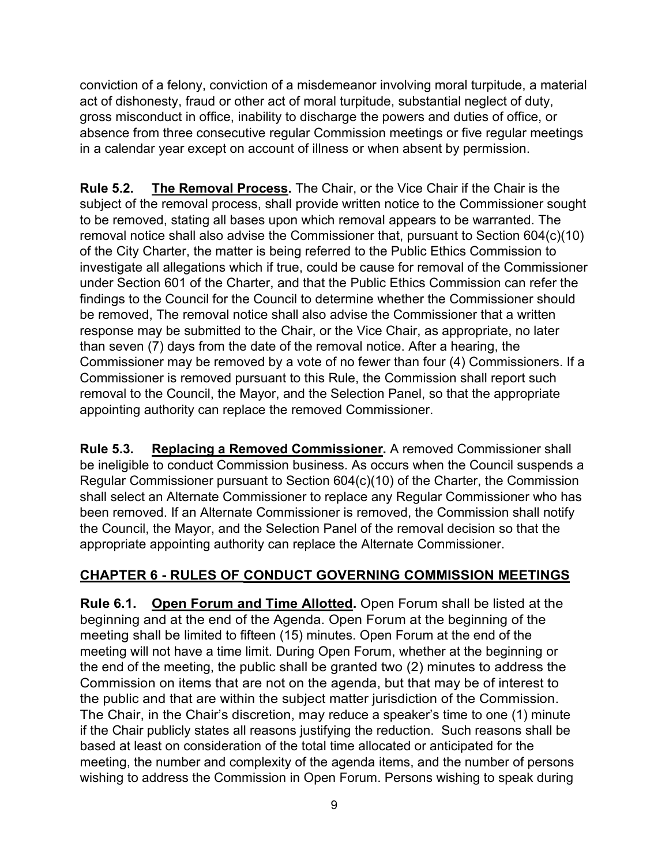conviction of a felony, conviction of a misdemeanor involving moral turpitude, a material act of dishonesty, fraud or other act of moral turpitude, substantial neglect of duty, gross misconduct in office, inability to discharge the powers and duties of office, or absence from three consecutive regular Commission meetings or five regular meetings in a calendar year except on account of illness or when absent by permission.

**Rule 5.2. The Removal Process.** The Chair, or the Vice Chair if the Chair is the subject of the removal process, shall provide written notice to the Commissioner sought to be removed, stating all bases upon which removal appears to be warranted. The removal notice shall also advise the Commissioner that, pursuant to Section 604(c)(10) of the City Charter, the matter is being referred to the Public Ethics Commission to investigate all allegations which if true, could be cause for removal of the Commissioner under Section 601 of the Charter, and that the Public Ethics Commission can refer the findings to the Council for the Council to determine whether the Commissioner should be removed, The removal notice shall also advise the Commissioner that a written response may be submitted to the Chair, or the Vice Chair, as appropriate, no later than seven (7) days from the date of the removal notice. After a hearing, the Commissioner may be removed by a vote of no fewer than four (4) Commissioners. If a Commissioner is removed pursuant to this Rule, the Commission shall report such removal to the Council, the Mayor, and the Selection Panel, so that the appropriate appointing authority can replace the removed Commissioner.

**Rule 5.3. Replacing a Removed Commissioner.** A removed Commissioner shall be ineligible to conduct Commission business. As occurs when the Council suspends a Regular Commissioner pursuant to Section 604(c)(10) of the Charter, the Commission shall select an Alternate Commissioner to replace any Regular Commissioner who has been removed. If an Alternate Commissioner is removed, the Commission shall notify the Council, the Mayor, and the Selection Panel of the removal decision so that the appropriate appointing authority can replace the Alternate Commissioner.

## **CHAPTER 6 - RULES OF CONDUCT GOVERNING COMMISSION MEETINGS**

**Rule 6.1. Open Forum and Time Allotted.** Open Forum shall be listed at the beginning and at the end of the Agenda. Open Forum at the beginning of the meeting shall be limited to fifteen (15) minutes. Open Forum at the end of the meeting will not have a time limit. During Open Forum, whether at the beginning or the end of the meeting, the public shall be granted two (2) minutes to address the Commission on items that are not on the agenda, but that may be of interest to the public and that are within the subject matter jurisdiction of the Commission. The Chair, in the Chair's discretion, may reduce a speaker's time to one (1) minute if the Chair publicly states all reasons justifying the reduction. Such reasons shall be based at least on consideration of the total time allocated or anticipated for the meeting, the number and complexity of the agenda items, and the number of persons wishing to address the Commission in Open Forum. Persons wishing to speak during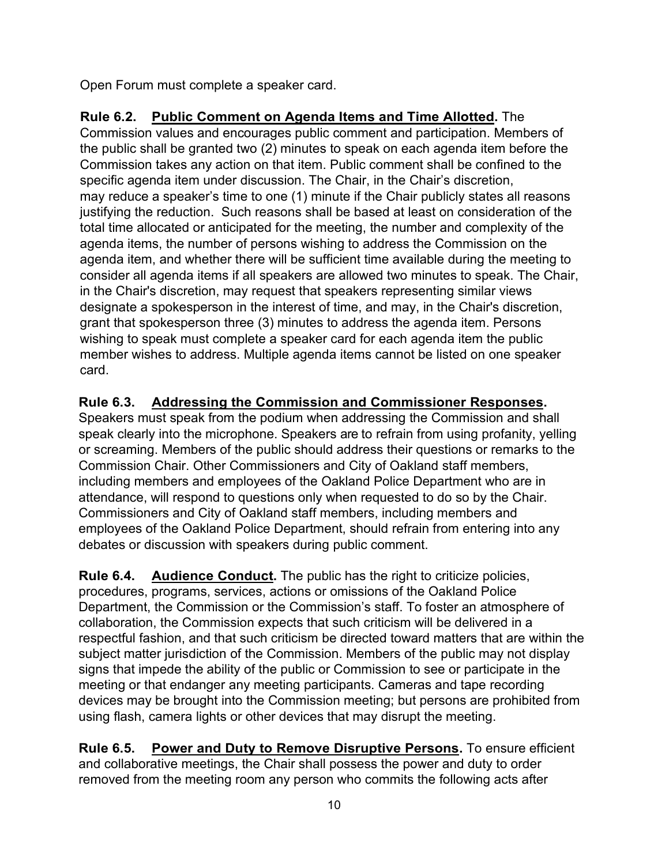Open Forum must complete a speaker card.

# **Rule 6.2. Public Comment on Agenda Items and Time Allotted.** The

Commission values and encourages public comment and participation. Members of the public shall be granted two (2) minutes to speak on each agenda item before the Commission takes any action on that item. Public comment shall be confined to the specific agenda item under discussion. The Chair, in the Chair's discretion, may reduce a speaker's time to one (1) minute if the Chair publicly states all reasons justifying the reduction. Such reasons shall be based at least on consideration of the total time allocated or anticipated for the meeting, the number and complexity of the agenda items, the number of persons wishing to address the Commission on the agenda item, and whether there will be sufficient time available during the meeting to consider all agenda items if all speakers are allowed two minutes to speak. The Chair, in the Chair's discretion, may request that speakers representing similar views designate a spokesperson in the interest of time, and may, in the Chair's discretion, grant that spokesperson three (3) minutes to address the agenda item. Persons wishing to speak must complete a speaker card for each agenda item the public member wishes to address. Multiple agenda items cannot be listed on one speaker card.

## **Rule 6.3. Addressing the Commission and Commissioner Responses.**

Speakers must speak from the podium when addressing the Commission and shall speak clearly into the microphone. Speakers are to refrain from using profanity, yelling or screaming. Members of the public should address their questions or remarks to the Commission Chair. Other Commissioners and City of Oakland staff members, including members and employees of the Oakland Police Department who are in attendance, will respond to questions only when requested to do so by the Chair. Commissioners and City of Oakland staff members, including members and employees of the Oakland Police Department, should refrain from entering into any debates or discussion with speakers during public comment.

**Rule 6.4. Audience Conduct.** The public has the right to criticize policies, procedures, programs, services, actions or omissions of the Oakland Police Department, the Commission or the Commission's staff. To foster an atmosphere of collaboration, the Commission expects that such criticism will be delivered in a respectful fashion, and that such criticism be directed toward matters that are within the subject matter jurisdiction of the Commission. Members of the public may not display signs that impede the ability of the public or Commission to see or participate in the meeting or that endanger any meeting participants. Cameras and tape recording devices may be brought into the Commission meeting; but persons are prohibited from using flash, camera lights or other devices that may disrupt the meeting.

**Rule 6.5. Power and Duty to Remove Disruptive Persons.** To ensure efficient and collaborative meetings, the Chair shall possess the power and duty to order removed from the meeting room any person who commits the following acts after